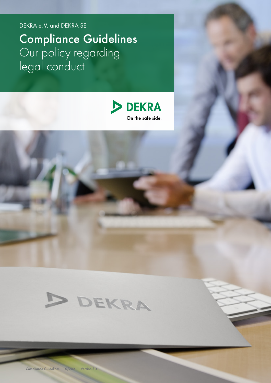DEKRA e.V. and DEKRA SE

Compliance Guidelines Our policy regarding legal conduct





Compliance Guidelines 10/2021 Version 3.4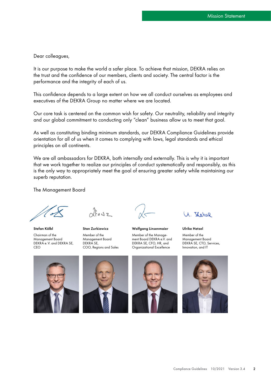Dear colleagues,

It is our purpose to make the world a safer place. To achieve that mission, DEKRA relies on the trust and the confidence of our members, clients and society. The central factor is the performance and the integrity of each of us.

This confidence depends to a large extent on how we all conduct ourselves as employees and executives of the DEKRA Group no matter where we are located.

Our core task is centered on the common wish for safety. Our neutrality, reliability and integrity and our global commitment to conducting only "clean" business allow us to meet that goal.

As well as constituting binding minimum standards, our DEKRA Compliance Guidelines provide orientation for all of us when it comes to complying with laws, legal standards and ethical principles on all continents.

We are all ambassadors for DEKRA, both internally and externally. This is why it is important that we work together to realize our principles of conduct systematically and responsibly, as this is the only way to appropriately meet the goal of ensuring greater safety while maintaining our superb reputation.

The Management Board

Stefan Kölbl

Chairman of the Management Board DEKRA e.V. and DEKRA SE, CEO



Stan Zurkiewicz Member of the Management Board DEKRA SE, COO, Regions and Sales



Wolfgang Linsenmaier

Member of the Management Board DEKRA e.V. and DEKRA SE, CFO, HR, and Organizational Excellence

ane V. N

#### Ulrike Hetzel

Member of the Management Board DEKRA SE, CTO, Services, Innovation, and IT







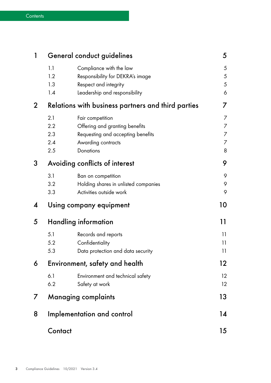| 1            | General conduct guidelines                         |                                                                                                                            | 5                                  |
|--------------|----------------------------------------------------|----------------------------------------------------------------------------------------------------------------------------|------------------------------------|
|              | 1.1<br>1.2<br>1.3<br>1.4                           | Compliance with the law<br>Responsibility for DEKRA's image<br>Respect and integrity<br>Leadership and responsibility      | 5<br>$\sqrt{5}$<br>$\sqrt{5}$<br>6 |
| $\mathbf 2$  | Relations with business partners and third parties |                                                                                                                            | 7                                  |
|              | 2.1<br>2.2<br>2.3<br>2.4<br>2.5                    | Fair competition<br>Offering and granting benefits<br>Requesting and accepting benefits<br>Awarding contracts<br>Donations | 7<br>7<br>7<br>7<br>8              |
| 3            | Avoiding conflicts of interest                     |                                                                                                                            | 9                                  |
|              | 3.1<br>3.2<br>3.3                                  | Ban on competition<br>Holding shares in unlisted companies<br>Activities outside work                                      | 9<br>9<br>9                        |
| 4            |                                                    | Using company equipment                                                                                                    | 10                                 |
| 5            | Handling information                               |                                                                                                                            | 11                                 |
|              | 5.1<br>5.2<br>5.3                                  | Records and reports<br>Confidentiality<br>Data protection and data security                                                | 11<br>11<br>11                     |
| 6            | Environment, safety and health                     |                                                                                                                            | 12                                 |
|              | 6.1<br>6.2                                         | Environment and technical safety<br>Safety at work                                                                         | 12<br>12                           |
| $\mathcal I$ | <b>Managing complaints</b>                         |                                                                                                                            | 13                                 |
| 8            | Implementation and control                         |                                                                                                                            | 14                                 |
|              | Contact                                            |                                                                                                                            | 15                                 |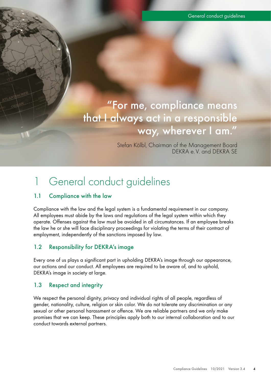"For me, compliance means that I always act in a responsible way, wherever I am."

> Stefan Kölbl, Chairman of the Management Board DEKRA e.V. and DEKRA SE

# 1 General conduct guidelines

### 1.1 Compliance with the law

Compliance with the law and the legal system is a fundamental requirement in our company. All employees must abide by the laws and regulations of the legal system within which they operate. Offenses against the law must be avoided in all circumstances. If an employee breaks the law he or she will face disciplinary proceedings for violating the terms of their contract of employment, independently of the sanctions imposed by law.

### 1.2 Responsibility for DEKRA's image

Every one of us plays a significant part in upholding DEKRA's image through our appearance, our actions and our conduct. All employees are required to be aware of, and to uphold, DEKRA's image in society at large.

### 1.3 Respect and integrity

We respect the personal dignity, privacy and individual rights of all people, regardless of gender, nationality, culture, religion or skin color. We do not tolerate any discrimination or any sexual or other personal harassment or offence. We are reliable partners and we only make promises that we can keep. These principles apply both to our internal collaboration and to our conduct towards external partners.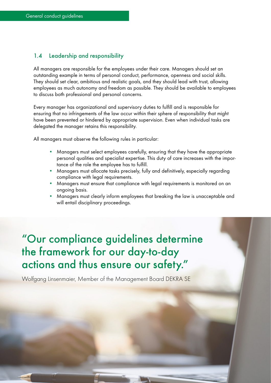### 1.4 Leadership and responsibility

All managers are responsible for the employees under their care. Managers should set an outstanding example in terms of personal conduct, performance, openness and social skills. They should set clear, ambitious and realistic goals, and they should lead with trust, allowing employees as much autonomy and freedom as possible. They should be available to employees to discuss both professional and personal concerns.

Every manager has organizational and supervisory duties to fulfill and is responsible for ensuring that no infringements of the law occur within their sphere of responsibility that might have been prevented or hindered by appropriate supervision. Even when individual tasks are delegated the manager retains this responsibility.

All managers must observe the following rules in particular:

- Managers must select employees carefully, ensuring that they have the appropriate personal qualities and specialist expertise. This duty of care increases with the importance of the role the employee has to fulfill.
- Managers must allocate tasks precisely, fully and definitively, especially regarding compliance with legal requirements.
- Managers must ensure that compliance with legal requirements is monitored on an ongoing basis.
- Managers must clearly inform employees that breaking the law is unacceptable and will entail disciplinary proceedings.

# "Our compliance guidelines determine the framework for our day-to-day actions and thus ensure our safety."

Wolfgang Linsenmaier, Member of the Management Board DEKRA SE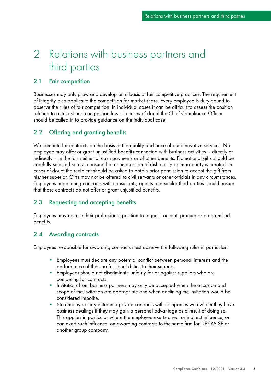# 2 Relations with business partners and third parties

#### 2.1 Fair competition

Businesses may only grow and develop on a basis of fair competitive practices. The requirement of integrity also applies to the competition for market share. Every employee is duty-bound to observe the rules of fair competition. In individual cases it can be difficult to assess the position relating to anti-trust and competition laws. In cases of doubt the Chief Compliance Officer should be called in to provide guidance on the individual case.

### 2.2 Offering and granting benefits

We compete for contracts on the basis of the quality and price of our innovative services. No employee may offer or grant unjustified benefits connected with business activities – directly or indirectly – in the form either of cash payments or of other benefits. Promotional gifts should be carefully selected so as to ensure that no impression of dishonesty or impropriety is created. In cases of doubt the recipient should be asked to obtain prior permission to accept the gift from his/her superior. Gifts may not be offered to civil servants or other officials in any circumstances. Employees negotiating contracts with consultants, agents and similar third parties should ensure that these contracts do not offer or grant unjustified benefits.

#### 2.3 Requesting and accepting benefits

Employees may not use their professional position to request, accept, procure or be promised benefits.

#### 2.4 Awarding contracts

Employees responsible for awarding contracts must observe the following rules in particular:

- Employees must declare any potential conflict between personal interests and the performance of their professional duties to their superior.
- Employees should not discriminate unfairly for or against suppliers who are competing for contracts.
- Invitations from business partners may only be accepted when the occasion and scope of the invitation are appropriate and when declining the invitation would be considered impolite.
- No employee may enter into private contracts with companies with whom they have business dealings if they may gain a personal advantage as a result of doing so. This applies in particular where the employee exerts direct or indirect influence, or can exert such influence, on awarding contracts to the same firm for DEKRA SE or another group company.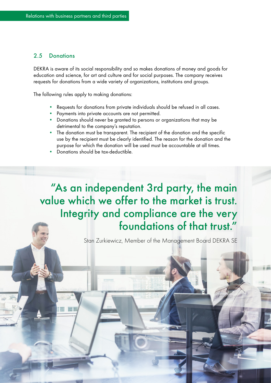#### 2.5 Donations

DEKRA is aware of its social responsibility and so makes donations of money and goods for education and science, for art and culture and for social purposes. The company receives requests for donations from a wide variety of organizations, institutions and groups.

The following rules apply to making donations:

- Requests for donations from private individuals should be refused in all cases.
- Payments into private accounts are not permitted.
- Donations should never be granted to persons or organizations that may be detrimental to the company's reputation.
- The donation must be transparent. The recipient of the donation and the specific use by the recipient must be clearly identified. The reason for the donation and the purpose for which the donation will be used must be accountable at all times.
- Donations should be tax-deductible.

"As an independent 3rd party, the main value which we offer to the market is trust. Integrity and compliance are the very foundations of that trust."

Stan Zurkiewicz, Member of the Management Board DEKRA SE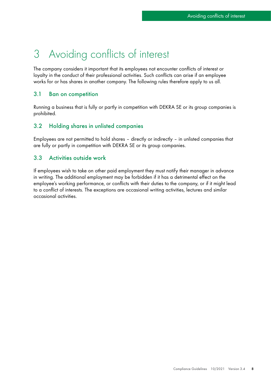# 3 Avoiding conflicts of interest

The company considers it important that its employees not encounter conflicts of interest or loyalty in the conduct of their professional activities. Such conflicts can arise if an employee works for or has shares in another company. The following rules therefore apply to us all.

### 3.1 Ban on competition

Running a business that is fully or partly in competition with DEKRA SE or its group companies is prohibited.

#### 3.2 Holding shares in unlisted companies

Employees are not permitted to hold shares – directly or indirectly – in unlisted companies that are fully or partly in competition with DEKRA SE or its group companies.

### 3.3 Activities outside work

If employees wish to take on other paid employment they must notify their manager in advance in writing. The additional employment may be forbidden if it has a detrimental effect on the employee's working performance, or conflicts with their duties to the company, or if it might lead to a conflict of interests. The exceptions are occasional writing activities, lectures and similar occasional activities.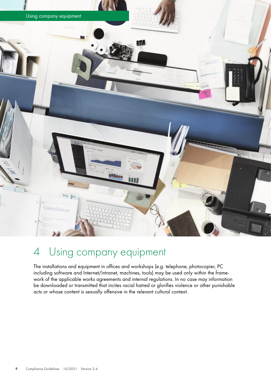

# 4 Using company equipment

The installations and equipment in offices and workshops (e.g. telephone, photocopier, PC including software and Internet/intranet, machines, tools) may be used only within the framework of the applicable works agreements and internal regulations. In no case may information be downloaded or transmitted that incites racial hatred or glorifies violence or other punishable acts or whose content is sexually offensive in the relevant cultural context.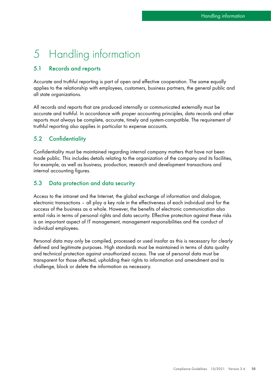# 5 Handling information

### 5.1 Records and reports

Accurate and truthful reporting is part of open and effective cooperation. The same equally applies to the relationship with employees, customers, business partners, the general public and all state organizations.

All records and reports that are produced internally or communicated externally must be accurate and truthful. In accordance with proper accounting principles, data records and other reports must always be complete, accurate, timely and system-compatible. The requirement of truthful reporting also applies in particular to expense accounts.

### 5.2 Confidentiality

Confidentiality must be maintained regarding internal company matters that have not been made public. This includes details relating to the organization of the company and its facilities, for example, as well as business, production, research and development transactions and internal accounting figures.

### 5.3 Data protection and data security

Access to the intranet and the Internet, the global exchange of information and dialogue, electronic transactions – all play a key role in the effectiveness of each individual and for the success of the business as a whole. However, the benefits of electronic communication also entail risks in terms of personal rights and data security. Effective protection against these risks is an important aspect of IT management, management responsibilities and the conduct of individual employees.

Personal data may only be compiled, processed or used insofar as this is necessary for clearly defined and legitimate purposes. High standards must be maintained in terms of data quality and technical protection against unauthorized access. The use of personal data must be transparent for those affected, upholding their rights to information and amendment and to challenge, block or delete the information as necessary.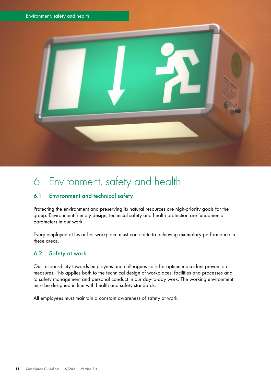

# 6 Environment, safety and health

### 6.1 Environment and technical safety

Protecting the environment and preserving its natural resources are high-priority goals for the group. Environment-friendly design, technical safety and health protection are fundamental parameters in our work.

Every employee at his or her workplace must contribute to achieving exemplary performance in these areas.

### 6.2 Safety at work

Our responsibility towards employees and colleagues calls for optimum accident prevention measures. This applies both to the technical design of workplaces, facilities and processes and to safety management and personal conduct in our day-to-day work. The working environment must be designed in line with health and safety standards.

All employees must maintain a constant awareness of safety at work.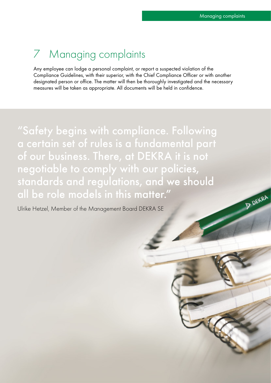**P DEKRA** 

# 7 Managing complaints

Any employee can lodge a personal complaint, or report a suspected violation of the Compliance Guidelines, with their superior, with the Chief Compliance Officer or with another designated person or office. The matter will then be thoroughly investigated and the necessary measures will be taken as appropriate. All documents will be held in confidence.

"Safety begins with compliance. Following a certain set of rules is a fundamental part of our business. There, at DEKRA it is not negotiable to comply with our policies, standards and regulations, and we should all be role models in this matter."

Ulrike Hetzel, Member of the Management Board DEKRA SE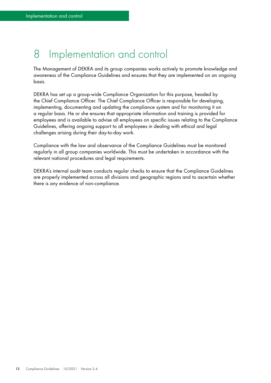# 8 Implementation and control

The Management of DEKRA and its group companies works actively to promote knowledge and awareness of the Compliance Guidelines and ensures that they are implemented on an ongoing basis.

DEKRA has set up a group-wide Compliance Organization for this purpose, headed by the Chief Compliance Officer. The Chief Compliance Officer is responsible for developing, implementing, documenting and updating the compliance system and for monitoring it on a regular basis. He or she ensures that appropriate information and training is provided for employees and is available to advise all employees on specific issues relating to the Compliance Guidelines, offering ongoing support to all employees in dealing with ethical and legal challenges arising during their day-to-day work.

Compliance with the law and observance of the Compliance Guidelines must be monitored regularly in all group companies worldwide. This must be undertaken in accordance with the relevant national procedures and legal requirements.

DEKRA's internal audit team conducts regular checks to ensure that the Compliance Guidelines are properly implemented across all divisions and geographic regions and to ascertain whether there is any evidence of non-compliance.